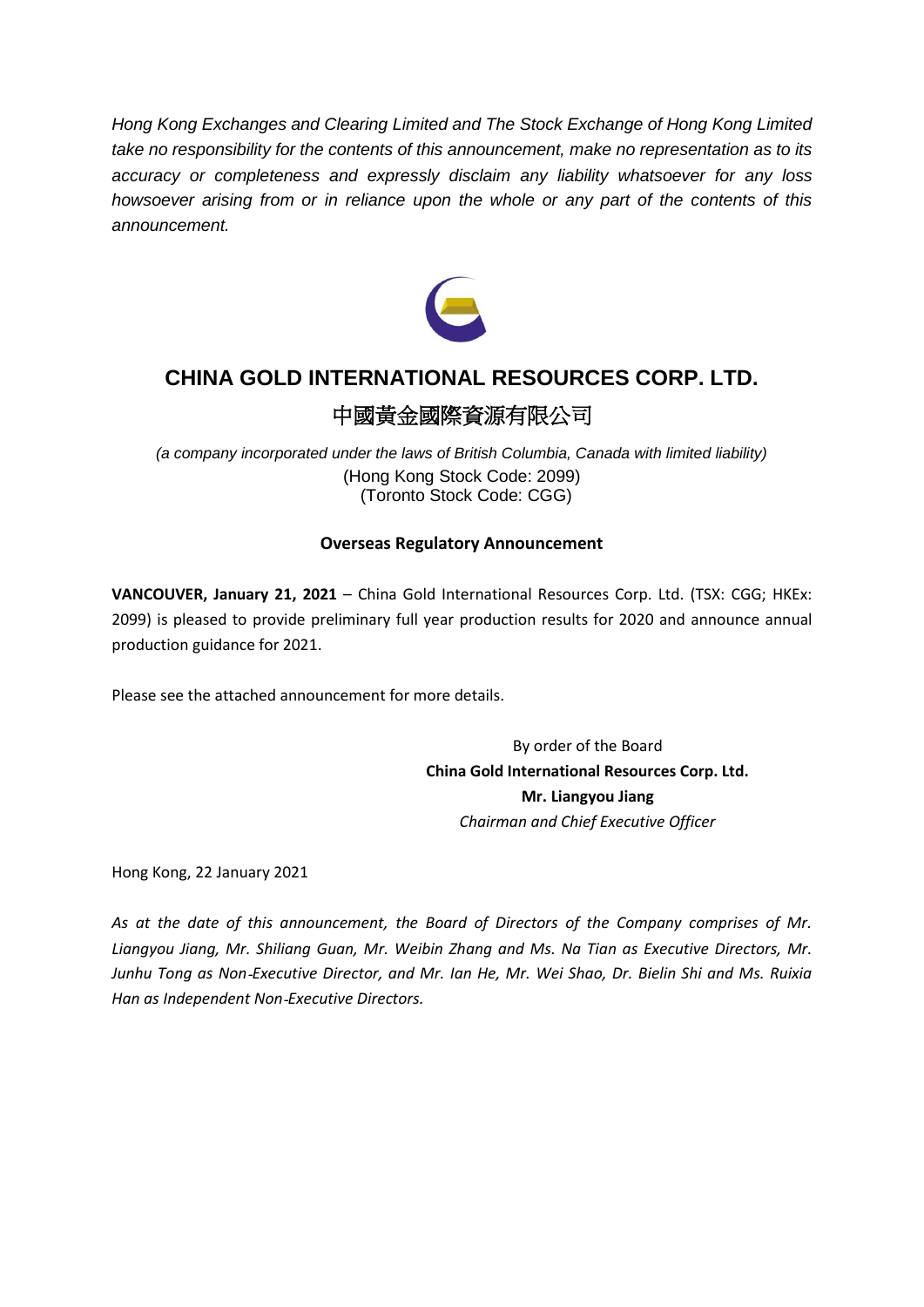*Hong Kong Exchanges and Clearing Limited and The Stock Exchange of Hong Kong Limited take no responsibility for the contents of this announcement, make no representation as to its accuracy or completeness and expressly disclaim any liability whatsoever for any loss howsoever arising from or in reliance upon the whole or any part of the contents of this announcement.*



# **CHINA GOLD INTERNATIONAL RESOURCES CORP. LTD.**

## 中國黃金國際資源有限公司

*(a company incorporated under the laws of British Columbia, Canada with limited liability)* (Hong Kong Stock Code: 2099) (Toronto Stock Code: CGG)

### **Overseas Regulatory Announcement**

**VANCOUVER, January 21, 2021** – China Gold International Resources Corp. Ltd. (TSX: CGG; HKEx: 2099) is pleased to provide preliminary full year production results for 2020 and announce annual production guidance for 2021.

Please see the attached announcement for more details.

By order of the Board **China Gold International Resources Corp. Ltd. Mr. Liangyou Jiang** *Chairman and Chief Executive Officer*

Hong Kong, 22 January 2021

*As at the date of this announcement, the Board of Directors of the Company comprises of Mr. Liangyou Jiang, Mr. Shiliang Guan, Mr. Weibin Zhang and Ms. Na Tian as Executive Directors, Mr. Junhu Tong as Non*‐*Executive Director, and Mr. Ian He, Mr. Wei Shao, Dr. Bielin Shi and Ms. Ruixia Han as Independent Non*‐*Executive Directors.*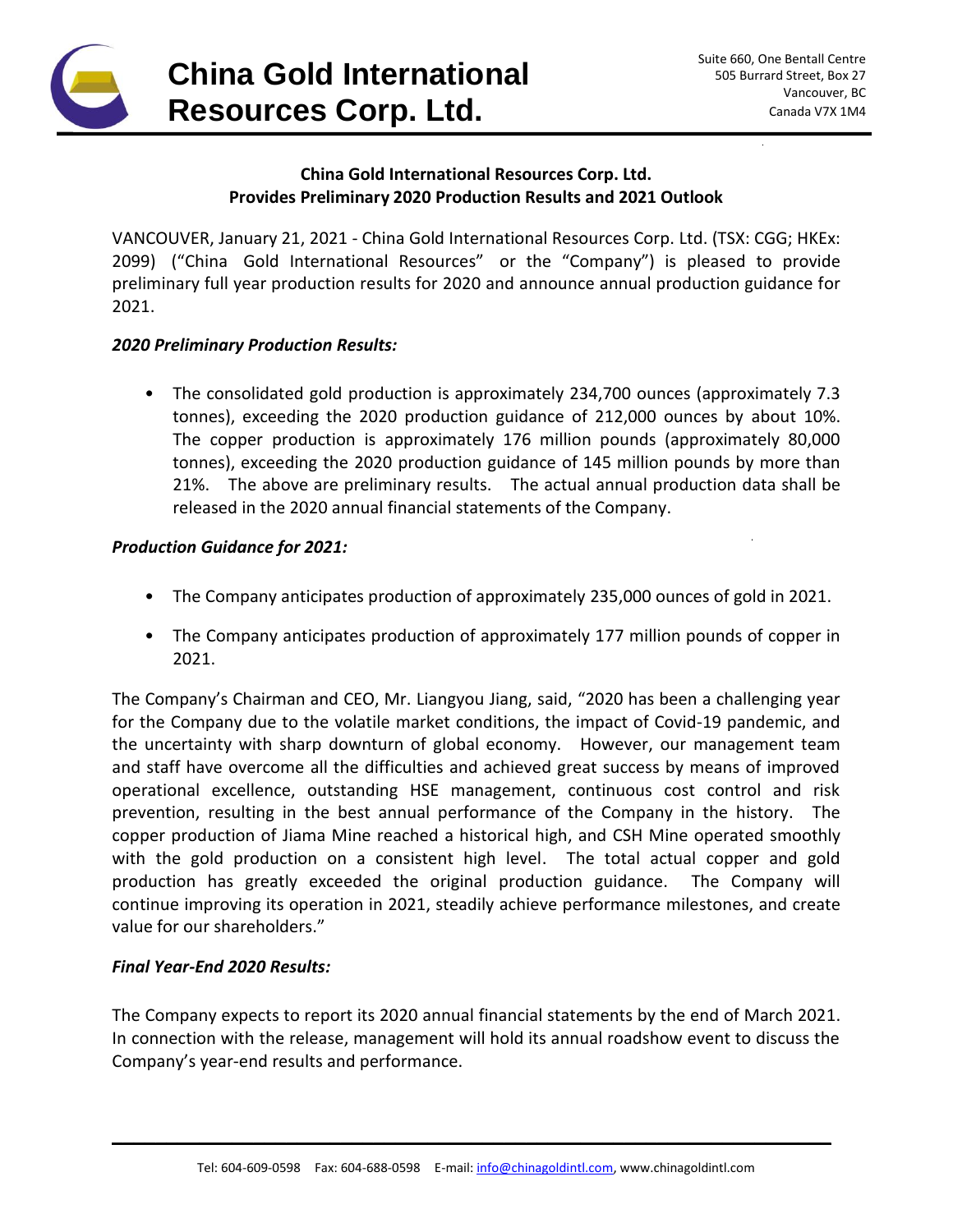

#### **China Gold International Resources Corp. Ltd. Provides Preliminary 2020 Production Results and 2021 Outlook**

VANCOUVER, January 21, 2021 - China Gold International Resources Corp. Ltd. (TSX: CGG; HKEx: 2099) ("China Gold International Resources" or the "Company") is pleased to provide preliminary full year production results for 2020 and announce annual production guidance for 2021.

#### *2020 Preliminary Production Results:*

• The consolidated gold production is approximately 234,700 ounces (approximately 7.3 tonnes), exceeding the 2020 production guidance of 212,000 ounces by about 10%. The copper production is approximately 176 million pounds (approximately 80,000 tonnes), exceeding the 2020 production guidance of 145 million pounds by more than 21%. The above are preliminary results. The actual annual production data shall be released in the 2020 annual financial statements of the Company.

#### *Production Guidance for 2021:*

- The Company anticipates production of approximately 235,000 ounces of gold in 2021.
- The Company anticipates production of approximately 177 million pounds of copper in 2021.

The Company's Chairman and CEO, Mr. Liangyou Jiang, said, "2020 has been a challenging year for the Company due to the volatile market conditions, the impact of Covid-19 pandemic, and the uncertainty with sharp downturn of global economy. However, our management team and staff have overcome all the difficulties and achieved great success by means of improved operational excellence, outstanding HSE management, continuous cost control and risk prevention, resulting in the best annual performance of the Company in the history. The copper production of Jiama Mine reached a historical high, and CSH Mine operated smoothly with the gold production on a consistent high level. The total actual copper and gold production has greatly exceeded the original production guidance. The Company will continue improving its operation in 2021, steadily achieve performance milestones, and create value for our shareholders."

### *Final Year-End 2020 Results:*

The Company expects to report its 2020 annual financial statements by the end of March 2021. In connection with the release, management will hold its annual roadshow event to discuss the Company's year-end results and performance.

\_\_\_\_\_\_\_\_\_\_\_\_\_\_\_\_\_\_\_\_\_\_\_\_\_\_\_\_\_\_\_\_\_\_\_\_\_\_\_\_\_\_\_\_\_\_\_\_\_\_\_\_\_\_\_\_\_\_\_\_\_\_\_\_\_\_